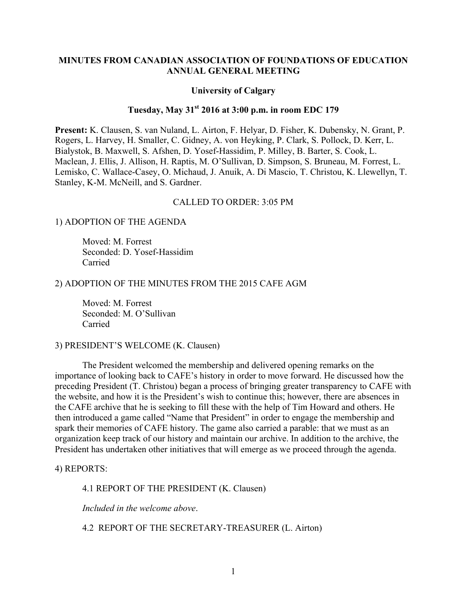### **MINUTES FROM CANADIAN ASSOCIATION OF FOUNDATIONS OF EDUCATION ANNUAL GENERAL MEETING**

#### **University of Calgary**

# **Tuesday, May 31st 2016 at 3:00 p.m. in room EDC 179**

**Present:** K. Clausen, S. van Nuland, L. Airton, F. Helyar, D. Fisher, K. Dubensky, N. Grant, P. Rogers, L. Harvey, H. Smaller, C. Gidney, A. von Heyking, P. Clark, S. Pollock, D. Kerr, L. Bialystok, B. Maxwell, S. Afshen, D. Yosef-Hassidim, P. Milley, B. Barter, S. Cook, L. Maclean, J. Ellis, J. Allison, H. Raptis, M. O'Sullivan, D. Simpson, S. Bruneau, M. Forrest, L. Lemisko, C. Wallace-Casey, O. Michaud, J. Anuik, A. Di Mascio, T. Christou, K. Llewellyn, T. Stanley, K-M. McNeill, and S. Gardner.

### CALLED TO ORDER: 3:05 PM

#### 1) ADOPTION OF THE AGENDA

Moved: M. Forrest Seconded: D. Yosef-Hassidim Carried

#### 2) ADOPTION OF THE MINUTES FROM THE 2015 CAFE AGM

Moved: M. Forrest Seconded: M. O'Sullivan Carried

### 3) PRESIDENT'S WELCOME (K. Clausen)

The President welcomed the membership and delivered opening remarks on the importance of looking back to CAFE's history in order to move forward. He discussed how the preceding President (T. Christou) began a process of bringing greater transparency to CAFE with the website, and how it is the President's wish to continue this; however, there are absences in the CAFE archive that he is seeking to fill these with the help of Tim Howard and others. He then introduced a game called "Name that President" in order to engage the membership and spark their memories of CAFE history. The game also carried a parable: that we must as an organization keep track of our history and maintain our archive. In addition to the archive, the President has undertaken other initiatives that will emerge as we proceed through the agenda.

4) REPORTS:

4.1 REPORT OF THE PRESIDENT (K. Clausen)

*Included in the welcome above*.

4.2 REPORT OF THE SECRETARY-TREASURER (L. Airton)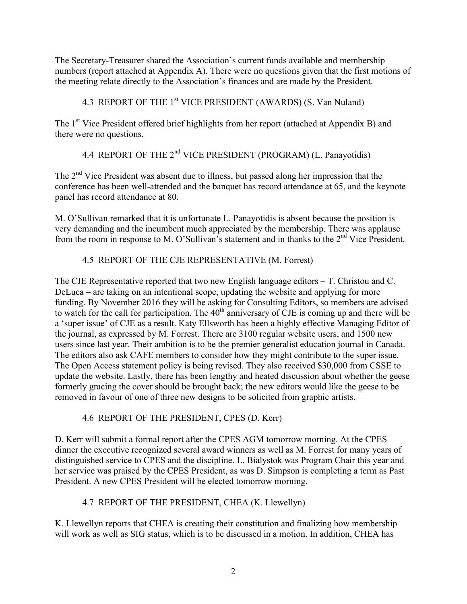The Secretary-Treasurer shared the Association's current funds available and membership numbers (report attached at Appendix A). There were no questions given that the first motions of the meeting relate directly to the Association's finances and are made by the President.

4.3 REPORT OF THE 1<sup>st</sup> VICE PRESIDENT (AWARDS) (S. Van Nuland)

The 1<sup>st</sup> Vice President offered brief highlights from her report (attached at Appendix B) and there were no questions.

4.4 REPORT OF THE 2<sup>nd</sup> VICE PRESIDENT (PROGRAM) (L. Panayotidis)

The  $2<sup>nd</sup>$  Vice President was absent due to illness, but passed along her impression that the conference has been well-attended and the banquet has record attendance at 65, and the keynote panel has record attendance at 80.

M. O'Sullivan remarked that it is unfortunate L. Panayotidis is absent because the position is very demanding and the incumbent much appreciated by the membership. There was applause from the room in response to M. O'Sullivan's statement and in thanks to the  $2<sup>nd</sup>$  Vice President.

# 4.5 REPORT OF THE CJE REPRESENTATIVE (M. Forrest)

The CJE Representative reported that two new English language editors – T. Christou and C. DeLuca – are taking on an intentional scope, updating the website and applying for more funding. By November 2016 they will be asking for Consulting Editors, so members are advised to watch for the call for participation. The  $40<sup>th</sup>$  anniversary of CJE is coming up and there will be a 'super issue' of CJE as a result. Katy Ellsworth has been a highly effective Managing Editor of the journal, as expressed by M. Forrest. There are 3100 regular website users, and 1500 new users since last year. Their ambition is to be the premier generalist education journal in Canada. The editors also ask CAFE members to consider how they might contribute to the super issue. The Open Access statement policy is being revised. They also received \$30,000 from CSSE to update the website. Lastly, there has been lengthy and heated discussion about whether the geese formerly gracing the cover should be brought back; the new editors would like the geese to be removed in favour of one of three new designs to be solicited from graphic artists.

4.6 REPORT OF THE PRESIDENT, CPES (D. Kerr)

D. Kerr will submit a formal report after the CPES AGM tomorrow morning. At the CPES dinner the executive recognized several award winners as well as M. Forrest for many years of distinguished service to CPES and the discipline. L. Bialystok was Program Chair this year and her service was praised by the CPES President, as was D. Simpson is completing a term as Past President. A new CPES President will be elected tomorrow morning.

# 4.7 REPORT OF THE PRESIDENT, CHEA (K. Llewellyn)

K. Llewellyn reports that CHEA is creating their constitution and finalizing how membership will work as well as SIG status, which is to be discussed in a motion. In addition, CHEA has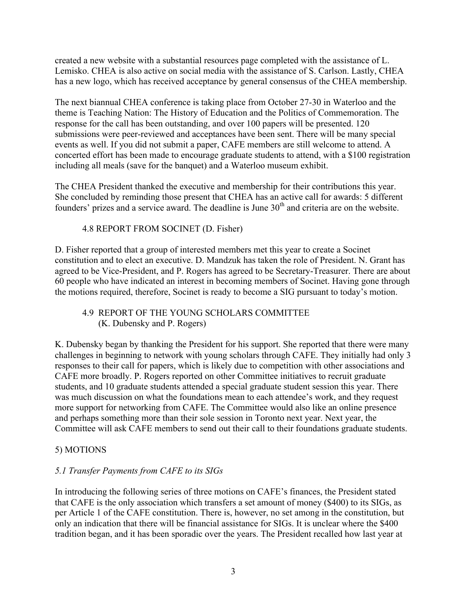created a new website with a substantial resources page completed with the assistance of L. Lemisko. CHEA is also active on social media with the assistance of S. Carlson. Lastly, CHEA has a new logo, which has received acceptance by general consensus of the CHEA membership.

The next biannual CHEA conference is taking place from October 27-30 in Waterloo and the theme is Teaching Nation: The History of Education and the Politics of Commemoration. The response for the call has been outstanding, and over 100 papers will be presented. 120 submissions were peer-reviewed and acceptances have been sent. There will be many special events as well. If you did not submit a paper, CAFE members are still welcome to attend. A concerted effort has been made to encourage graduate students to attend, with a \$100 registration including all meals (save for the banquet) and a Waterloo museum exhibit.

The CHEA President thanked the executive and membership for their contributions this year. She concluded by reminding those present that CHEA has an active call for awards: 5 different founders' prizes and a service award. The deadline is June  $30<sup>th</sup>$  and criteria are on the website.

# 4.8 REPORT FROM SOCINET (D. Fisher)

D. Fisher reported that a group of interested members met this year to create a Socinet constitution and to elect an executive. D. Mandzuk has taken the role of President. N. Grant has agreed to be Vice-President, and P. Rogers has agreed to be Secretary-Treasurer. There are about 60 people who have indicated an interest in becoming members of Socinet. Having gone through the motions required, therefore, Socinet is ready to become a SIG pursuant to today's motion.

# 4.9 REPORT OF THE YOUNG SCHOLARS COMMITTEE (K. Dubensky and P. Rogers)

K. Dubensky began by thanking the President for his support. She reported that there were many challenges in beginning to network with young scholars through CAFE. They initially had only 3 responses to their call for papers, which is likely due to competition with other associations and CAFE more broadly. P. Rogers reported on other Committee initiatives to recruit graduate students, and 10 graduate students attended a special graduate student session this year. There was much discussion on what the foundations mean to each attendee's work, and they request more support for networking from CAFE. The Committee would also like an online presence and perhaps something more than their sole session in Toronto next year. Next year, the Committee will ask CAFE members to send out their call to their foundations graduate students.

# 5) MOTIONS

# *5.1 Transfer Payments from CAFE to its SIGs*

In introducing the following series of three motions on CAFE's finances, the President stated that CAFE is the only association which transfers a set amount of money (\$400) to its SIGs, as per Article 1 of the CAFE constitution. There is, however, no set among in the constitution, but only an indication that there will be financial assistance for SIGs. It is unclear where the \$400 tradition began, and it has been sporadic over the years. The President recalled how last year at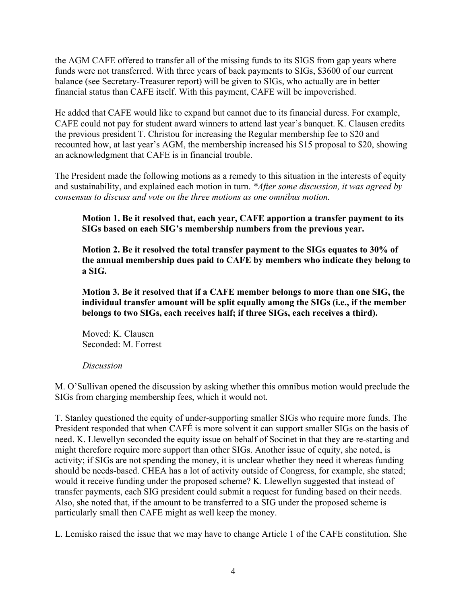the AGM CAFE offered to transfer all of the missing funds to its SIGS from gap years where funds were not transferred. With three years of back payments to SIGs, \$3600 of our current balance (see Secretary-Treasurer report) will be given to SIGs, who actually are in better financial status than CAFE itself. With this payment, CAFE will be impoverished.

He added that CAFE would like to expand but cannot due to its financial duress. For example, CAFE could not pay for student award winners to attend last year's banquet. K. Clausen credits the previous president T. Christou for increasing the Regular membership fee to \$20 and recounted how, at last year's AGM, the membership increased his \$15 proposal to \$20, showing an acknowledgment that CAFE is in financial trouble.

The President made the following motions as a remedy to this situation in the interests of equity and sustainability, and explained each motion in turn. *\*After some discussion, it was agreed by consensus to discuss and vote on the three motions as one omnibus motion.*

**Motion 1. Be it resolved that, each year, CAFE apportion a transfer payment to its SIGs based on each SIG's membership numbers from the previous year.**

**Motion 2. Be it resolved the total transfer payment to the SIGs equates to 30% of the annual membership dues paid to CAFE by members who indicate they belong to a SIG.**

**Motion 3. Be it resolved that if a CAFE member belongs to more than one SIG, the individual transfer amount will be split equally among the SIGs (i.e., if the member belongs to two SIGs, each receives half; if three SIGs, each receives a third).**

Moved: K. Clausen Seconded: M. Forrest

# *Discussion*

M. O'Sullivan opened the discussion by asking whether this omnibus motion would preclude the SIGs from charging membership fees, which it would not.

T. Stanley questioned the equity of under-supporting smaller SIGs who require more funds. The President responded that when CAFÉ is more solvent it can support smaller SIGs on the basis of need. K. Llewellyn seconded the equity issue on behalf of Socinet in that they are re-starting and might therefore require more support than other SIGs. Another issue of equity, she noted, is activity; if SIGs are not spending the money, it is unclear whether they need it whereas funding should be needs-based. CHEA has a lot of activity outside of Congress, for example, she stated; would it receive funding under the proposed scheme? K. Llewellyn suggested that instead of transfer payments, each SIG president could submit a request for funding based on their needs. Also, she noted that, if the amount to be transferred to a SIG under the proposed scheme is particularly small then CAFE might as well keep the money.

L. Lemisko raised the issue that we may have to change Article 1 of the CAFE constitution. She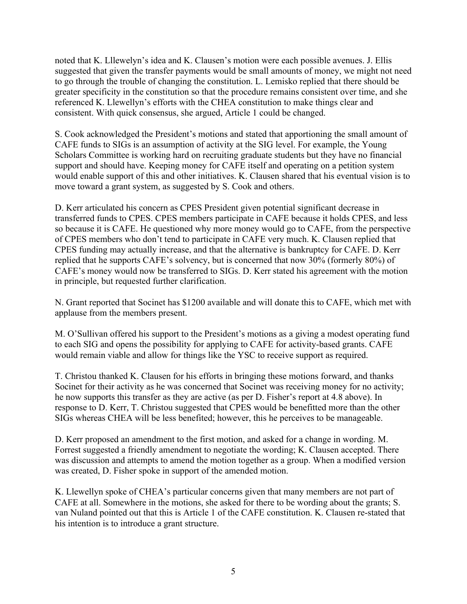noted that K. Lllewelyn's idea and K. Clausen's motion were each possible avenues. J. Ellis suggested that given the transfer payments would be small amounts of money, we might not need to go through the trouble of changing the constitution. L. Lemisko replied that there should be greater specificity in the constitution so that the procedure remains consistent over time, and she referenced K. Llewellyn's efforts with the CHEA constitution to make things clear and consistent. With quick consensus, she argued, Article 1 could be changed.

S. Cook acknowledged the President's motions and stated that apportioning the small amount of CAFE funds to SIGs is an assumption of activity at the SIG level. For example, the Young Scholars Committee is working hard on recruiting graduate students but they have no financial support and should have. Keeping money for CAFE itself and operating on a petition system would enable support of this and other initiatives. K. Clausen shared that his eventual vision is to move toward a grant system, as suggested by S. Cook and others.

D. Kerr articulated his concern as CPES President given potential significant decrease in transferred funds to CPES. CPES members participate in CAFE because it holds CPES, and less so because it is CAFE. He questioned why more money would go to CAFE, from the perspective of CPES members who don't tend to participate in CAFE very much. K. Clausen replied that CPES funding may actually increase, and that the alternative is bankruptcy for CAFE. D. Kerr replied that he supports CAFE's solvency, but is concerned that now 30% (formerly 80%) of CAFE's money would now be transferred to SIGs. D. Kerr stated his agreement with the motion in principle, but requested further clarification.

N. Grant reported that Socinet has \$1200 available and will donate this to CAFE, which met with applause from the members present.

M. O'Sullivan offered his support to the President's motions as a giving a modest operating fund to each SIG and opens the possibility for applying to CAFE for activity-based grants. CAFE would remain viable and allow for things like the YSC to receive support as required.

T. Christou thanked K. Clausen for his efforts in bringing these motions forward, and thanks Socinet for their activity as he was concerned that Socinet was receiving money for no activity; he now supports this transfer as they are active (as per D. Fisher's report at 4.8 above). In response to D. Kerr, T. Christou suggested that CPES would be benefitted more than the other SIGs whereas CHEA will be less benefited; however, this he perceives to be manageable.

D. Kerr proposed an amendment to the first motion, and asked for a change in wording. M. Forrest suggested a friendly amendment to negotiate the wording; K. Clausen accepted. There was discussion and attempts to amend the motion together as a group. When a modified version was created, D. Fisher spoke in support of the amended motion.

K. Llewellyn spoke of CHEA's particular concerns given that many members are not part of CAFE at all. Somewhere in the motions, she asked for there to be wording about the grants; S. van Nuland pointed out that this is Article 1 of the CAFE constitution. K. Clausen re-stated that his intention is to introduce a grant structure.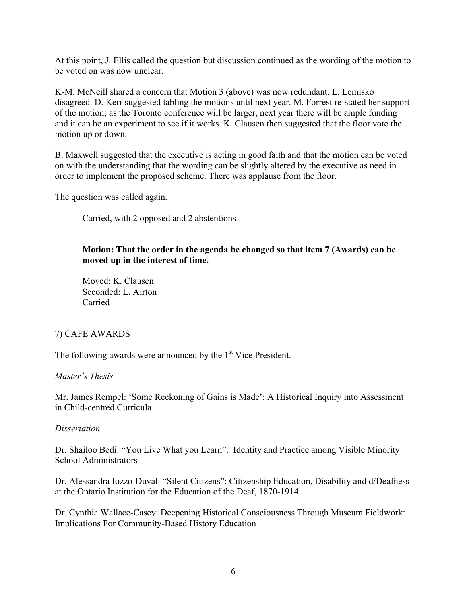At this point, J. Ellis called the question but discussion continued as the wording of the motion to be voted on was now unclear.

K-M. McNeill shared a concern that Motion 3 (above) was now redundant. L. Lemisko disagreed. D. Kerr suggested tabling the motions until next year. M. Forrest re-stated her support of the motion; as the Toronto conference will be larger, next year there will be ample funding and it can be an experiment to see if it works. K. Clausen then suggested that the floor vote the motion up or down.

B. Maxwell suggested that the executive is acting in good faith and that the motion can be voted on with the understanding that the wording can be slightly altered by the executive as need in order to implement the proposed scheme. There was applause from the floor.

The question was called again.

Carried, with 2 opposed and 2 abstentions

# **Motion: That the order in the agenda be changed so that item 7 (Awards) can be moved up in the interest of time.**

Moved: K. Clausen Seconded: L. Airton Carried

# 7) CAFE AWARDS

The following awards were announced by the  $1<sup>st</sup>$  Vice President.

## *Master's Thesis*

Mr. James Rempel: 'Some Reckoning of Gains is Made': A Historical Inquiry into Assessment in Child-centred Curricula

## *Dissertation*

Dr. Shailoo Bedi: "You Live What you Learn": Identity and Practice among Visible Minority School Administrators

Dr. Alessandra Iozzo-Duval: "Silent Citizens": Citizenship Education, Disability and d/Deafness at the Ontario Institution for the Education of the Deaf, 1870-1914

Dr. Cynthia Wallace-Casey: Deepening Historical Consciousness Through Museum Fieldwork: Implications For Community-Based History Education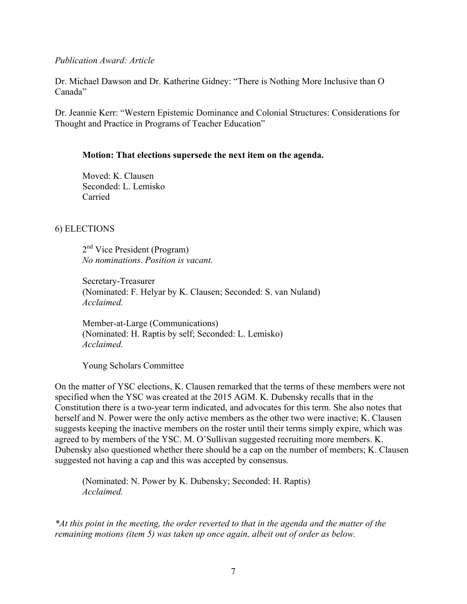### *Publication Award: Article*

Dr. Michael Dawson and Dr. Katherine Gidney: "There is Nothing More Inclusive than O Canada"

Dr. Jeannie Kerr: "Western Epistemic Dominance and Colonial Structures: Considerations for Thought and Practice in Programs of Teacher Education"

## **Motion: That elections supersede the next item on the agenda.**

Moved: K. Clausen Seconded: L. Lemisko Carried

# 6) ELECTIONS

2<sup>nd</sup> Vice President (Program) *No nominations*. *Position is vacant.*

Secretary-Treasurer (Nominated: F. Helyar by K. Clausen; Seconded: S. van Nuland) *Acclaimed.*

Member-at-Large (Communications) (Nominated: H. Raptis by self; Seconded: L. Lemisko) *Acclaimed.*

Young Scholars Committee

On the matter of YSC elections, K. Clausen remarked that the terms of these members were not specified when the YSC was created at the 2015 AGM. K. Dubensky recalls that in the Constitution there is a two-year term indicated, and advocates for this term. She also notes that herself and N. Power were the only active members as the other two were inactive; K. Clausen suggests keeping the inactive members on the roster until their terms simply expire, which was agreed to by members of the YSC. M. O'Sullivan suggested recruiting more members. K. Dubensky also questioned whether there should be a cap on the number of members; K. Clausen suggested not having a cap and this was accepted by consensus.

(Nominated: N. Power by K. Dubensky; Seconded: H. Raptis) *Acclaimed.*

*\*At this point in the meeting, the order reverted to that in the agenda and the matter of the remaining motions (item 5) was taken up once again, albeit out of order as below.*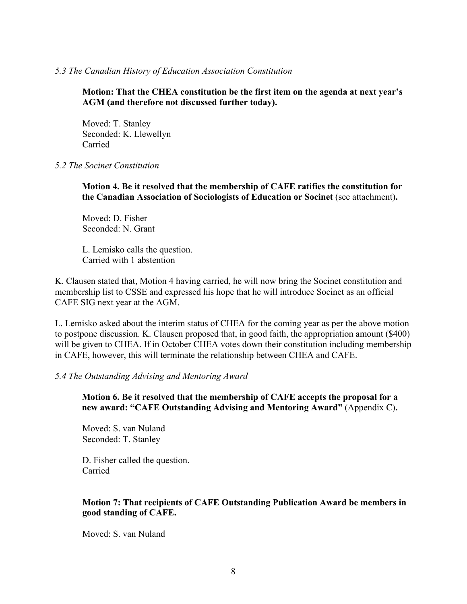### *5.3 The Canadian History of Education Association Constitution*

**Motion: That the CHEA constitution be the first item on the agenda at next year's AGM (and therefore not discussed further today).**

Moved: T. Stanley Seconded: K. Llewellyn Carried

### *5.2 The Socinet Constitution*

**Motion 4. Be it resolved that the membership of CAFE ratifies the constitution for the Canadian Association of Sociologists of Education or Socinet** (see attachment)**.**

Moved: D. Fisher Seconded: N. Grant

L. Lemisko calls the question. Carried with 1 abstention

K. Clausen stated that, Motion 4 having carried, he will now bring the Socinet constitution and membership list to CSSE and expressed his hope that he will introduce Socinet as an official CAFE SIG next year at the AGM.

L. Lemisko asked about the interim status of CHEA for the coming year as per the above motion to postpone discussion. K. Clausen proposed that, in good faith, the appropriation amount (\$400) will be given to CHEA. If in October CHEA votes down their constitution including membership in CAFE, however, this will terminate the relationship between CHEA and CAFE.

#### *5.4 The Outstanding Advising and Mentoring Award*

**Motion 6. Be it resolved that the membership of CAFE accepts the proposal for a new award: "CAFE Outstanding Advising and Mentoring Award"** (Appendix C)**.**

Moved: S. van Nuland Seconded: T. Stanley

D. Fisher called the question. Carried

## **Motion 7: That recipients of CAFE Outstanding Publication Award be members in good standing of CAFE.**

Moved: S. van Nuland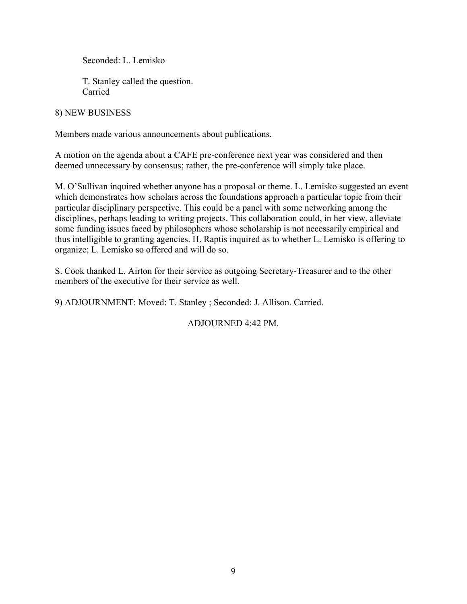Seconded: L. Lemisko

T. Stanley called the question. Carried

## 8) NEW BUSINESS

Members made various announcements about publications.

A motion on the agenda about a CAFE pre-conference next year was considered and then deemed unnecessary by consensus; rather, the pre-conference will simply take place.

M. O'Sullivan inquired whether anyone has a proposal or theme. L. Lemisko suggested an event which demonstrates how scholars across the foundations approach a particular topic from their particular disciplinary perspective. This could be a panel with some networking among the disciplines, perhaps leading to writing projects. This collaboration could, in her view, alleviate some funding issues faced by philosophers whose scholarship is not necessarily empirical and thus intelligible to granting agencies. H. Raptis inquired as to whether L. Lemisko is offering to organize; L. Lemisko so offered and will do so.

S. Cook thanked L. Airton for their service as outgoing Secretary-Treasurer and to the other members of the executive for their service as well.

9) ADJOURNMENT: Moved: T. Stanley ; Seconded: J. Allison. Carried.

ADJOURNED 4:42 PM.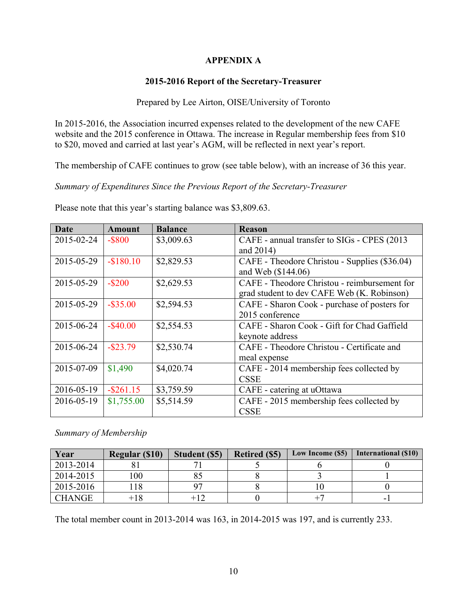# **APPENDIX A**

# **2015-2016 Report of the Secretary-Treasurer**

## Prepared by Lee Airton, OISE/University of Toronto

In 2015-2016, the Association incurred expenses related to the development of the new CAFE website and the 2015 conference in Ottawa. The increase in Regular membership fees from \$10 to \$20, moved and carried at last year's AGM, will be reflected in next year's report.

The membership of CAFE continues to grow (see table below), with an increase of 36 this year.

*Summary of Expenditures Since the Previous Report of the Secretary-Treasurer*

Please note that this year's starting balance was \$3,809.63.

| Date       | <b>Amount</b> | <b>Balance</b> | <b>Reason</b>                                 |
|------------|---------------|----------------|-----------------------------------------------|
| 2015-02-24 | $-$ \$800     | \$3,009.63     | CAFE - annual transfer to SIGs - CPES (2013)  |
|            |               |                | and $2014$ )                                  |
| 2015-05-29 | $-$180.10$    | \$2,829.53     | CAFE - Theodore Christou - Supplies (\$36.04) |
|            |               |                | and Web (\$144.06)                            |
| 2015-05-29 | $-$ \$200     | \$2,629.53     | CAFE - Theodore Christou - reimbursement for  |
|            |               |                | grad student to dev CAFE Web (K. Robinson)    |
| 2015-05-29 | $-$ \$35.00   | \$2,594.53     | CAFE - Sharon Cook - purchase of posters for  |
|            |               |                | 2015 conference                               |
| 2015-06-24 | $-$ \$40.00   | \$2,554.53     | CAFE - Sharon Cook - Gift for Chad Gaffield   |
|            |               |                | keynote address                               |
| 2015-06-24 | $-$ \$23.79   | \$2,530.74     | CAFE - Theodore Christou - Certificate and    |
|            |               |                | meal expense                                  |
| 2015-07-09 | \$1,490       | \$4,020.74     | CAFE - 2014 membership fees collected by      |
|            |               |                | <b>CSSE</b>                                   |
| 2016-05-19 | $-$ \$261.15  | \$3,759.59     | CAFE - catering at uOttawa                    |
| 2016-05-19 | \$1,755.00    | \$5,514.59     | CAFE - 2015 membership fees collected by      |
|            |               |                | <b>CSSE</b>                                   |

*Summary of Membership*

| Year          | <b>Regular (\$10)</b> | Student (\$5) | <b>Retired (\$5)</b> | Low Income (\$5) | International (\$10) |
|---------------|-----------------------|---------------|----------------------|------------------|----------------------|
| 2013-2014     |                       |               |                      |                  |                      |
| 2014-2015     | 00 <sub>1</sub>       |               |                      |                  |                      |
| 2015-2016     |                       |               |                      |                  |                      |
| <b>CHANGE</b> |                       |               |                      |                  | -                    |

The total member count in 2013-2014 was 163, in 2014-2015 was 197, and is currently 233.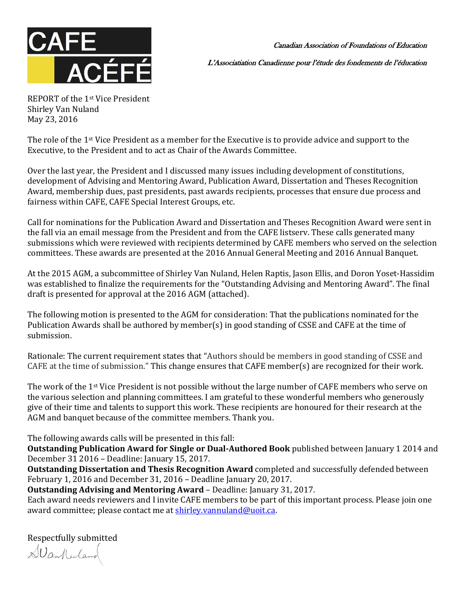

Canadian Association of Foundations of Education

L'Associatiation Canadienne pour l'étude des fondements de l'éducation

REPORT of the 1st Vice President Shirley Van Nuland May 23, 2016

The role of the 1st Vice President as a member for the Executive is to provide advice and support to the Executive, to the President and to act as Chair of the Awards Committee.

Over the last year, the President and I discussed many issues including development of constitutions, development of Advising and Mentoring Award, Publication Award, Dissertation and Theses Recognition Award, membership dues, past presidents, past awards recipients, processes that ensure due process and fairness within CAFE, CAFE Special Interest Groups, etc.

Call for nominations for the Publication Award and Dissertation and Theses Recognition Award were sent in the fall via an email message from the President and from the CAFE listserv. These calls generated many submissions which were reviewed with recipients determined by CAFE members who served on the selection committees. These awards are presented at the 2016 Annual General Meeting and 2016 Annual Banquet.

At the 2015 AGM, a subcommittee of Shirley Van Nuland, Helen Raptis, Jason Ellis, and Doron Yoset-Hassidim was established to finalize the requirements for the "Outstanding Advising and Mentoring Award". The final draft is presented for approval at the 2016 AGM (attached).

The following motion is presented to the AGM for consideration: That the publications nominated for the Publication Awards shall be authored by member(s) in good standing of CSSE and CAFE at the time of submission.

Rationale: The current requirement states that "Authors should be members in good standing of CSSE and CAFE at the time of submission." This change ensures that CAFE member(s) are recognized for their work.

The work of the 1<sup>st</sup> Vice President is not possible without the large number of CAFE members who serve on the various selection and planning committees. I am grateful to these wonderful members who generously give of their time and talents to support this work. These recipients are honoured for their research at the AGM and banquet because of the committee members. Thank you.

The following awards calls will be presented in this fall:

**Outstanding Publication Award for Single or Dual-Authored Book** published between January 1 2014 and December 31 2016 – Deadline: January 15, 2017.

**Outstanding Dissertation and Thesis Recognition Award** completed and successfully defended between February 1, 2016 and December 31, 2016 – Deadline January 20, 2017.

**Outstanding Advising and Mentoring Award** – Deadline: January 31, 2017. Each award needs reviewers and I invite CAFE members to be part of this important process. Please join one award committee; please contact me at [shirley.vannuland@uoit.ca.](mailto:shirley.vannuland@uoit.ca)

Respectfully submitted

SVanKerland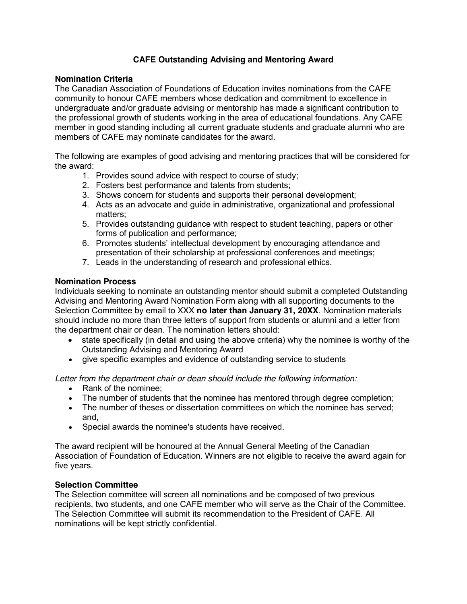# **CAFE Outstanding Advising and Mentoring Award**

### **Nomination Criteria**

The Canadian Association of Foundations of Education invites nominations from the CAFE community to honour CAFE members whose dedication and commitment to excellence in undergraduate and/or graduate advising or mentorship has made a significant contribution to the professional growth of students working in the area of educational foundations. Any CAFE member in good standing including all current graduate students and graduate alumni who are members of CAFE may nominate candidates for the award.

The following are examples of good advising and mentoring practices that will be considered for the award:

- 1. Provides sound advice with respect to course of study;
- 2. Fosters best performance and talents from students;
- 3. Shows concern for students and supports their personal development;
- 4. Acts as an advocate and guide in administrative, organizational and professional matters;
- 5. Provides outstanding guidance with respect to student teaching, papers or other forms of publication and performance;
- 6. Promotes students' intellectual development by encouraging attendance and presentation of their scholarship at professional conferences and meetings;
- 7. Leads in the understanding of research and professional ethics.

### **Nomination Process**

Individuals seeking to nominate an outstanding mentor should submit a completed Outstanding Advising and Mentoring Award Nomination Form along with all supporting documents to the Selection Committee by email to XXX **no later than January 31, 20XX**. Nomination materials should include no more than three letters of support from students or alumni and a letter from the department chair or dean. The nomination letters should:

- state specifically (in detail and using the above criteria) why the nominee is worthy of the Outstanding Advising and Mentoring Award
- give specific examples and evidence of outstanding service to students

*Letter from the department chair or dean should include the following information:*

- Rank of the nominee:
- The number of students that the nominee has mentored through degree completion;
- The number of theses or dissertation committees on which the nominee has served; and,
- Special awards the nominee's students have received.

The award recipient will be honoured at the Annual General Meeting of the Canadian Association of Foundation of Education. Winners are not eligible to receive the award again for five years.

#### **Selection Committee**

The Selection committee will screen all nominations and be composed of two previous recipients, two students, and one CAFE member who will serve as the Chair of the Committee. The Selection Committee will submit its recommendation to the President of CAFE. All nominations will be kept strictly confidential.